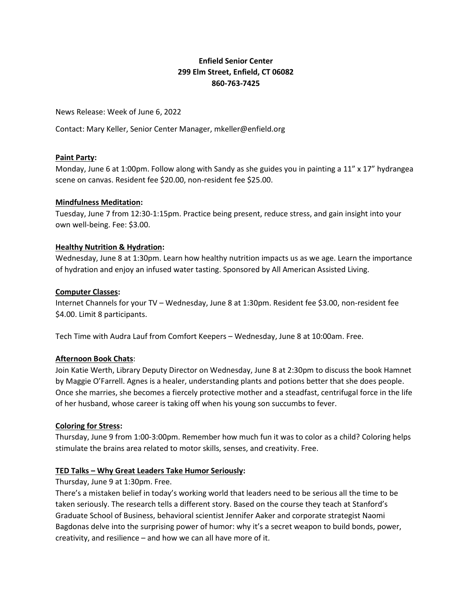# **Enfield Senior Center 299 Elm Street, Enfield, CT 06082 860-763-7425**

News Release: Week of June 6, 2022

Contact: Mary Keller, Senior Center Manager, mkeller@enfield.org

## **Paint Party:**

Monday, June 6 at 1:00pm. Follow along with Sandy as she guides you in painting a 11" x 17" hydrangea scene on canvas. Resident fee \$20.00, non-resident fee \$25.00.

### **Mindfulness Meditation:**

Tuesday, June 7 from 12:30-1:15pm. Practice being present, reduce stress, and gain insight into your own well-being. Fee: \$3.00.

### **Healthy Nutrition & Hydration:**

Wednesday, June 8 at 1:30pm. Learn how healthy nutrition impacts us as we age. Learn the importance of hydration and enjoy an infused water tasting. Sponsored by All American Assisted Living.

### **Computer Classes:**

Internet Channels for your TV – Wednesday, June 8 at 1:30pm. Resident fee \$3.00, non-resident fee \$4.00. Limit 8 participants.

Tech Time with Audra Lauf from Comfort Keepers – Wednesday, June 8 at 10:00am. Free.

## **Afternoon Book Chats**:

Join Katie Werth, Library Deputy Director on Wednesday, June 8 at 2:30pm to discuss the book Hamnet by Maggie O'Farrell. Agnes is a healer, understanding plants and potions better that she does people. Once she marries, she becomes a fiercely protective mother and a steadfast, centrifugal force in the life of her husband, whose career is taking off when his young son succumbs to fever.

#### **Coloring for Stress:**

Thursday, June 9 from 1:00-3:00pm. Remember how much fun it was to color as a child? Coloring helps stimulate the brains area related to motor skills, senses, and creativity. Free.

## **TED Talks – Why Great Leaders Take Humor Seriously:**

## Thursday, June 9 at 1:30pm. Free.

There's a mistaken belief in today's working world that leaders need to be serious all the time to be taken seriously. The research tells a different story. Based on the course they teach at Stanford's Graduate School of Business, behavioral scientist Jennifer Aaker and corporate strategist Naomi Bagdonas delve into the surprising power of humor: why it's a secret weapon to build bonds, power, creativity, and resilience – and how we can all have more of it.